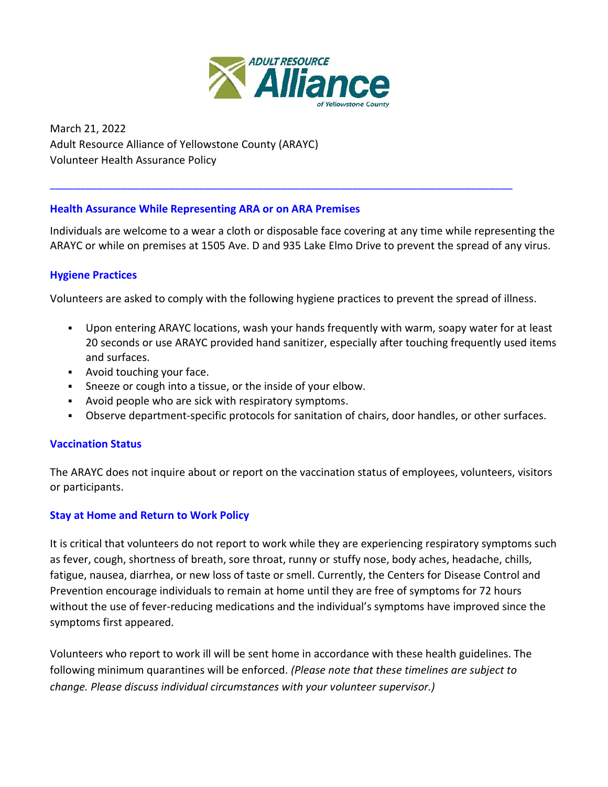

March 21, 2022 Adult Resource Alliance of Yellowstone County (ARAYC) Volunteer Health Assurance Policy

### **Health Assurance While Representing ARA or on ARA Premises**

Individuals are welcome to a wear a cloth or disposable face covering at any time while representing the ARAYC or while on premises at 1505 Ave. D and 935 Lake Elmo Drive to prevent the spread of any virus.

\_\_\_\_\_\_\_\_\_\_\_\_\_\_\_\_\_\_\_\_\_\_\_\_\_\_\_\_\_\_\_\_\_\_\_\_\_\_\_\_\_\_\_\_\_\_\_\_\_\_\_\_\_\_\_\_\_\_\_\_\_\_\_\_\_\_\_\_\_\_\_\_\_\_\_\_\_\_

#### **Hygiene Practices**

Volunteers are asked to comply with the following hygiene practices to prevent the spread of illness.

- Upon entering ARAYC locations, wash your hands frequently with warm, soapy water for at least 20 seconds or use ARAYC provided hand sanitizer, especially after touching frequently used items and surfaces.
- Avoid touching your face.
- Sneeze or cough into a tissue, or the inside of your elbow.
- Avoid people who are sick with respiratory symptoms.
- Observe department-specific protocols for sanitation of chairs, door handles, or other surfaces.

#### **Vaccination Status**

The ARAYC does not inquire about or report on the vaccination status of employees, volunteers, visitors or participants.

#### **Stay at Home and Return to Work Policy**

It is critical that volunteers do not report to work while they are experiencing respiratory symptoms such as fever, cough, shortness of breath, sore throat, runny or stuffy nose, body aches, headache, chills, fatigue, nausea, diarrhea, or new loss of taste or smell. Currently, the Centers for Disease Control and Prevention encourage individuals to remain at home until they are free of symptoms for 72 hours without the use of fever-reducing medications and the individual's symptoms have improved since the symptoms first appeared.

Volunteers who report to work ill will be sent home in accordance with these health guidelines. The following minimum quarantines will be enforced. *(Please note that these timelines are subject to change. Please discuss individual circumstances with your volunteer supervisor.)*